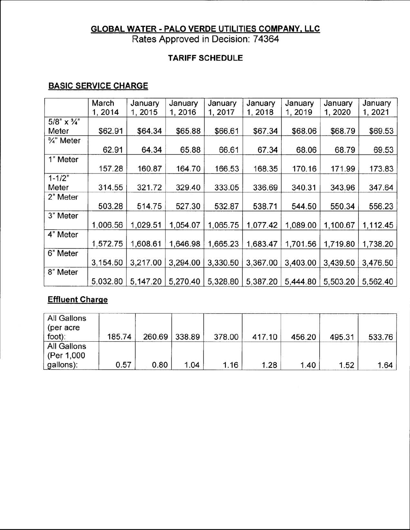# **GLOBAL WATER - PALO VERDE UTILITIES COMPANY, LLC** Rates Approved in Decision: 74364

### **TARIFF SCHEDULE**

## **BASIC SERVICE CHARGE**

|                           | March    | January  | January  | January  | January  | January  | January  | January  |
|---------------------------|----------|----------|----------|----------|----------|----------|----------|----------|
|                           | 1, 2014  | 1, 2015  | 1, 2016  | 1, 2017  | 1, 2018  | 1, 2019  | 1, 2020  | 1, 2021  |
| $5/8$ " x $\frac{3}{4}$ " |          |          |          |          |          |          |          |          |
| Meter                     | \$62.91  | \$64.34  | \$65.88  | \$66.61  | \$67.34  | \$68.06  | \$68.79  | \$69.53  |
| 3/4" Meter                |          |          |          |          |          |          |          |          |
|                           | 62.91    | 64.34    | 65.88    | 66.61    | 67.34    | 68.06    | 68.79    | 69.53    |
| 1" Meter                  |          |          |          |          |          |          |          |          |
|                           | 157.28   | 160.87   | 164.70   | 166.53   | 168.35   | 170.16   | 171.99   | 173.83   |
| $1 - 1/2"$                |          |          |          |          |          |          |          |          |
| Meter                     | 314.55   | 321.72   | 329.40   | 333.05   | 336.69   | 340.31   | 343.96   | 347.64   |
| 2" Meter                  |          |          |          |          |          |          |          |          |
|                           | 503.28   | 514.75   | 527.30   | 532.87   | 538.71   | 544.50   | 550.34   | 556.23   |
| 3" Meter                  |          |          |          |          |          |          |          |          |
|                           | 1,006.56 | 1,029.51 | 1,054.07 | 1,065.75 | 1,077.42 | 1,089.00 | 1,100.67 | 1,112.45 |
| 4" Meter                  |          |          |          |          |          |          |          |          |
|                           | 1,572.75 | 1,608.61 | 1,646.98 | 1,665.23 | 1,683.47 | 1,701.56 | 1,719.80 | 1,738.20 |
| 6" Meter                  |          |          |          |          |          |          |          |          |
|                           | 3,154.50 | 3,217.00 | 3,294.00 | 3,330.50 | 3,367.00 | 3,403.00 | 3,439.50 | 3,476.50 |
| 8" Meter                  |          |          |          |          |          |          |          |          |
|                           | 5,032.80 | 5,147.20 | 5,270.40 | 5,328.80 | 5,387.20 | 5,444.80 | 5,503.20 | 5,562.40 |

## **Effluent Charqe**

| All Gallons<br>(per acre<br>foot):      | 185.74 |      | 260.69 338.89 | 378.00 | 417.10 | 456.20 | 495.31 | 533.76 |
|-----------------------------------------|--------|------|---------------|--------|--------|--------|--------|--------|
| All Gallons<br>(Per 1,000)<br>gallons): | 0.57   | 0.80 | 1.04          | 1.16   | 1.28   | 1.40   | 1.52   | 1.64   |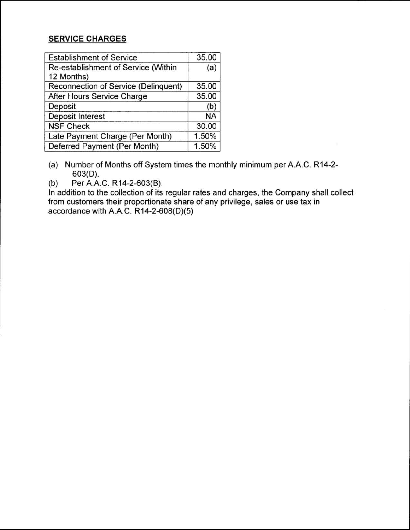#### **SERVICE CHARGES**

| <b>Establishment of Service</b>      | 35.00     |
|--------------------------------------|-----------|
| Re-establishment of Service (Within  | (a)       |
| 12 Months)                           |           |
| Reconnection of Service (Delinquent) | 35.00     |
| After Hours Service Charge           | 35.00     |
| Deposit                              | (b)       |
| <b>Deposit Interest</b>              | <b>NA</b> |
| <b>NSF Check</b>                     | 30.00     |
| Late Payment Charge (Per Month)      | 1.50%     |
| Deferred Payment (Per Month)         | 1.50%     |

(a) Number of Months off System times the monthly minimum per A.A.C. R14-2- 603(D).

(b) Per A.A.C. R14-2-603(B).

In addition to the collection of its regular rates and charges, the Company shall collect from customers their proportionate share of any privilege, sales or use tax in accordance with A.A.C. R14-2-608(D)(5)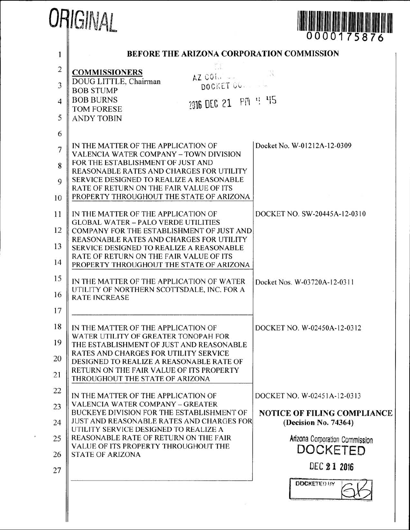|                                                                                             | ORIGINAL                                                                                                                                                                                                                                                                                                                                                                                                                                                                                                                                                                                                                                                                                                                              | 0000175876                                                                                                                                              |
|---------------------------------------------------------------------------------------------|---------------------------------------------------------------------------------------------------------------------------------------------------------------------------------------------------------------------------------------------------------------------------------------------------------------------------------------------------------------------------------------------------------------------------------------------------------------------------------------------------------------------------------------------------------------------------------------------------------------------------------------------------------------------------------------------------------------------------------------|---------------------------------------------------------------------------------------------------------------------------------------------------------|
|                                                                                             | <b>BEFORE THE ARIZONA CORPORATION COMMISSION</b>                                                                                                                                                                                                                                                                                                                                                                                                                                                                                                                                                                                                                                                                                      |                                                                                                                                                         |
| 1<br>$\overline{2}$<br>3<br>$\overline{4}$<br>5<br>6<br>7<br>8<br>9<br>10<br>11<br>12<br>13 | <b>COMMISSIONERS</b><br>$AZ$ COI.<br>DOUG LITTLE, Chairman<br>DOCKET CO.<br><b>BOB STUMP</b><br><b>BOB BURNS</b><br>2016 DEC 21 PM 4 45<br><b>TOM FORESE</b><br><b>ANDY TOBIN</b><br>IN THE MATTER OF THE APPLICATION OF<br><b>VALENCIA WATER COMPANY - TOWN DIVISION</b><br>FOR THE ESTABLISHMENT OF JUST AND<br><b>REASONABLE RATES AND CHARGES FOR UTILITY</b><br>SERVICE DESIGNED TO REALIZE A REASONABLE<br>RATE OF RETURN ON THE FAIR VALUE OF ITS<br>PROPERTY THROUGHOUT THE STATE OF ARIZONA<br>IN THE MATTER OF THE APPLICATION OF<br><b>GLOBAL WATER - PALO VERDE UTILITIES</b><br>COMPANY FOR THE ESTABLISHMENT OF JUST AND<br><b>REASONABLE RATES AND CHARGES FOR UTILITY</b><br>SERVICE DESIGNED TO REALIZE A REASONABLE | Docket No. W-01212A-12-0309<br>DOCKET NO. SW-20445A-12-0310                                                                                             |
| 14<br>15<br>16<br>17                                                                        | RATE OF RETURN ON THE FAIR VALUE OF ITS<br>PROPERTY THROUGHOUT THE STATE OF ARIZONA<br>IN THE MATTER OF THE APPLICATION OF WATER<br>UTILITY OF NORTHERN SCOTTSDALE, INC. FOR A<br><b>RATE INCREASE</b>                                                                                                                                                                                                                                                                                                                                                                                                                                                                                                                                | Docket Nos. W-03720A-12-0311                                                                                                                            |
| 18<br>19<br>20<br>21                                                                        | IN THE MATTER OF THE APPLICATION OF<br>WATER UTILITY OF GREATER TONOPAH FOR<br>THE ESTABLISHMENT OF JUST AND REASONABLE<br><b>RATES AND CHARGES FOR UTILITY SERVICE</b><br>DESIGNED TO REALIZE A REASONABLE RATE OF<br>RETURN ON THE FAIR VALUE OF ITS PROPERTY<br>THROUGHOUT THE STATE OF ARIZONA                                                                                                                                                                                                                                                                                                                                                                                                                                    | DOCKET NO. W-02450A-12-0312                                                                                                                             |
| 22<br>23<br>24<br>25<br>26<br>27                                                            | IN THE MATTER OF THE APPLICATION OF<br><b>VALENCIA WATER COMPANY - GREATER</b><br>BUCKEYE DIVISION FOR THE ESTABLISHMENT OF<br><b>JUST AND REASONABLE RATES AND CHARGES FOR</b><br>UTILITY SERVICE DESIGNED TO REALIZE A<br>REASONABLE RATE OF RETURN ON THE FAIR<br>VALUE OF ITS PROPERTY THROUGHOUT THE<br><b>STATE OF ARIZONA</b>                                                                                                                                                                                                                                                                                                                                                                                                  | DOCKET NO. W-02451A-12-0313<br><b>NOTICE OF FILING COMPLIANCE</b><br>(Decision No. 74364)<br>Arizona Corporation Commission<br>DOCKETED<br>DEC 2 1 2016 |
|                                                                                             |                                                                                                                                                                                                                                                                                                                                                                                                                                                                                                                                                                                                                                                                                                                                       | <b>DOCKETED BY</b>                                                                                                                                      |

 $\mathbf{x}$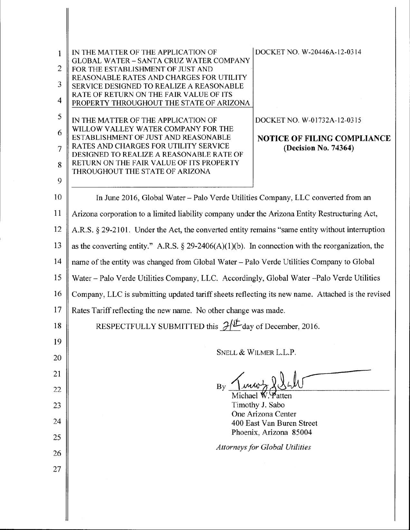| 1<br>$\overline{c}$<br>3<br>$\overline{4}$ | DOCKET NO. W-20446A-12-0314<br>IN THE MATTER OF THE APPLICATION OF<br><b>GLOBAL WATER - SANTA CRUZ WATER COMPANY</b><br>FOR THE ESTABLISHMENT OF JUST AND<br>REASONABLE RATES AND CHARGES FOR UTILITY<br>SERVICE DESIGNED TO REALIZE A REASONABLE<br>RATE OF RETURN ON THE FAIR VALUE OF ITS<br>PROPERTY THROUGHOUT THE STATE OF ARIZONA |  |  |  |
|--------------------------------------------|------------------------------------------------------------------------------------------------------------------------------------------------------------------------------------------------------------------------------------------------------------------------------------------------------------------------------------------|--|--|--|
| 5                                          | DOCKET NO. W-01732A-12-0315<br>IN THE MATTER OF THE APPLICATION OF                                                                                                                                                                                                                                                                       |  |  |  |
| 6                                          | WILLOW VALLEY WATER COMPANY FOR THE<br>ESTABLISHMENT OF JUST AND REASONABLE<br>NOTICE OF FILING COMPLIANCE                                                                                                                                                                                                                               |  |  |  |
| $\overline{7}$                             | RATES AND CHARGES FOR UTILITY SERVICE<br>(Decision No. 74364)<br>DESIGNED TO REALIZE A REASONABLE RATE OF                                                                                                                                                                                                                                |  |  |  |
| 8                                          | RETURN ON THE FAIR VALUE OF ITS PROPERTY<br>THROUGHOUT THE STATE OF ARIZONA                                                                                                                                                                                                                                                              |  |  |  |
| 9                                          |                                                                                                                                                                                                                                                                                                                                          |  |  |  |
| 10                                         | In June 2016, Global Water - Palo Verde Utilities Company, LLC converted from an                                                                                                                                                                                                                                                         |  |  |  |
| 11                                         | Arizona corporation to a limited liability company under the Arizona Entity Restructuring Act,                                                                                                                                                                                                                                           |  |  |  |
| 12                                         | A.R.S. § 29-2101. Under the Act, the converted entity remains "same entity without interruption                                                                                                                                                                                                                                          |  |  |  |
| 13                                         | as the converting entity." A.R.S. $\S 29-2406(A)(1)(b)$ . In connection with the reorganization, the                                                                                                                                                                                                                                     |  |  |  |
| 14                                         | name of the entity was changed from Global Water - Palo Verde Utilities Company to Global                                                                                                                                                                                                                                                |  |  |  |
| 15                                         | Water - Palo Verde Utilities Company, LLC. Accordingly, Global Water - Palo Verde Utilities                                                                                                                                                                                                                                              |  |  |  |
| 16                                         | Company, LLC is submitting updated tariff sheets reflecting its new name. Attached is the revised                                                                                                                                                                                                                                        |  |  |  |
| 17                                         | Rates Tariff reflecting the new name. No other change was made.                                                                                                                                                                                                                                                                          |  |  |  |
| 18                                         | RESPECTFULLY SUBMITTED this $\mathcal{J}^{f_{\text{L}}}\text{day of December, 2016.}$                                                                                                                                                                                                                                                    |  |  |  |
| 19                                         | SNELL & WILMER L.L.P.                                                                                                                                                                                                                                                                                                                    |  |  |  |
| 20                                         |                                                                                                                                                                                                                                                                                                                                          |  |  |  |
| 21                                         |                                                                                                                                                                                                                                                                                                                                          |  |  |  |
| 22                                         | By<br>Michael W. Patten                                                                                                                                                                                                                                                                                                                  |  |  |  |
| 23                                         | Timothy J. Sabo<br>One Arizona Center                                                                                                                                                                                                                                                                                                    |  |  |  |
| 24                                         | 400 East Van Buren Street                                                                                                                                                                                                                                                                                                                |  |  |  |
| 25                                         | Phoenix, Arizona 85004<br><b>Attorneys for Global Utilities</b>                                                                                                                                                                                                                                                                          |  |  |  |
| 26                                         |                                                                                                                                                                                                                                                                                                                                          |  |  |  |
| 27                                         |                                                                                                                                                                                                                                                                                                                                          |  |  |  |
|                                            |                                                                                                                                                                                                                                                                                                                                          |  |  |  |
|                                            |                                                                                                                                                                                                                                                                                                                                          |  |  |  |
|                                            |                                                                                                                                                                                                                                                                                                                                          |  |  |  |

|

II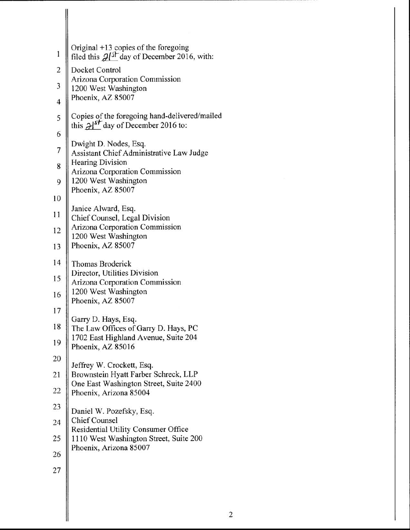| 1                       | Original +13 copies of the foregoing<br>filed this $2\ell^{5}$ day of December 2016, with:       |
|-------------------------|--------------------------------------------------------------------------------------------------|
| $\overline{c}$          | Docket Control                                                                                   |
| 3                       | Arizona Corporation Commission<br>1200 West Washington                                           |
| $\overline{\mathbf{4}}$ | Phoenix, AZ 85007                                                                                |
| 5                       | Copies of the foregoing hand-delivered/mailed<br>this $\mathcal{A}^{f}$ day of December 2016 to: |
| 6                       |                                                                                                  |
| $\overline{7}$          | Dwight D. Nodes, Esq.<br>Assistant Chief Administrative Law Judge                                |
| 8                       | Hearing Division<br>Arizona Corporation Commission                                               |
| 9                       | 1200 West Washington<br>Phoenix, AZ 85007                                                        |
| 10                      |                                                                                                  |
| 11                      | Janice Alward, Esq.<br>Chief Counsel, Legal Division                                             |
| 12                      | Arizona Corporation Commission<br>1200 West Washington                                           |
| 13                      | Phoenix, AZ 85007                                                                                |
| 14                      | Thomas Broderick                                                                                 |
| 15                      | Director, Utilities Division<br><b>Arizona Corporation Commission</b>                            |
| 16                      | 1200 West Washington<br>Phoenix, AZ 85007                                                        |
| 17                      | Garry D. Hays, Esq.                                                                              |
| 18                      | The Law Offices of Garry D. Hays, PC<br>1702 East Highland Avenue, Suite 204                     |
| 19                      | Phoenix, AZ 85016                                                                                |
| 20                      |                                                                                                  |
| 21                      | Jeffrey W. Crockett, Esq.<br>Brownstein Hyatt Farber Schreck, LLP                                |
| 22                      | One East Washington Street, Suite 2400<br>Phoenix, Arizona 85004                                 |
| 23                      | Daniel W. Pozefsky, Esq.                                                                         |
| 24                      | <b>Chief Counsel</b><br>Residential Utility Consumer Office                                      |
| 25                      | 1110 West Washington Street, Suite 200                                                           |
| 26                      | Phoenix, Arizona 85007                                                                           |
| 27                      |                                                                                                  |

 $\parallel$ 

ll